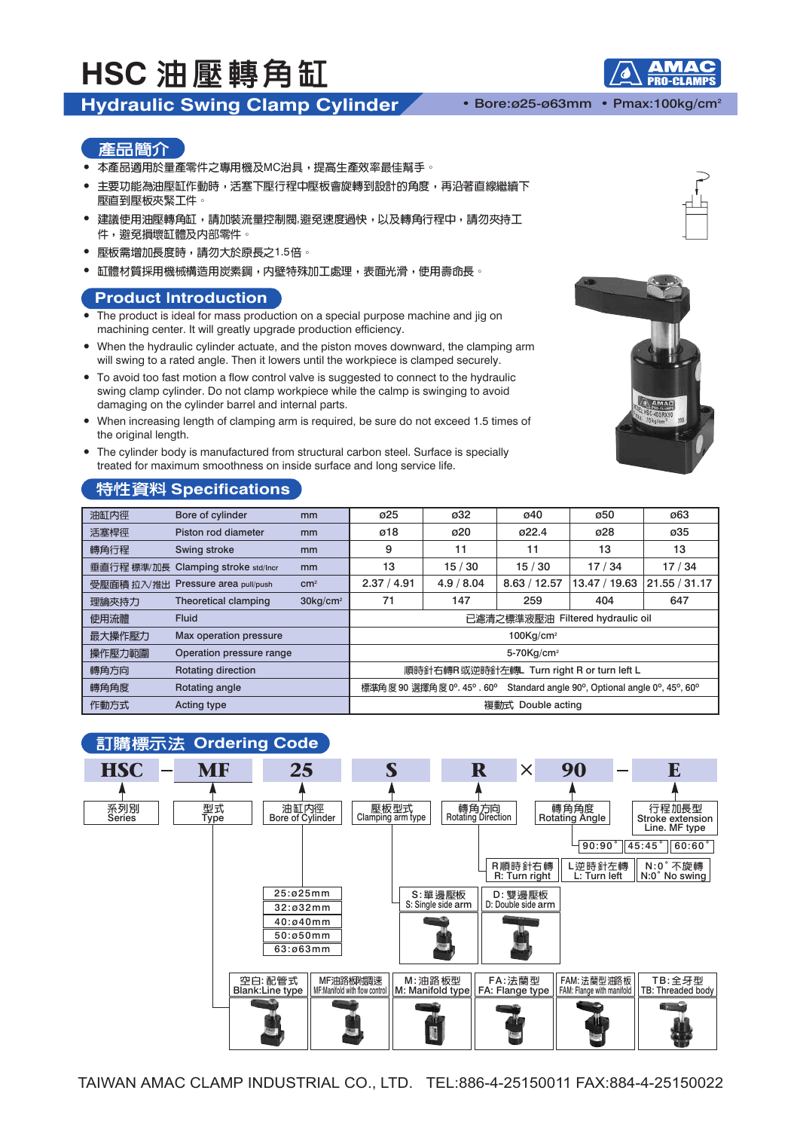## **HSC**

## **Hydraulic Swing Clamp Cylinder** • Bore:ø25-ø63mm • Pmax:100kg/cm<sup>2</sup>

#### 產品簡介

- 本產品適用於量產零件之專用機及MC治具,提高生產效率最佳幫手。
- 主要功能為油壓缸作動時,活塞下壓行程中壓板會旋轉到設計的角度,再沿著直線繼續下 壓直到壓板夾緊工件。
- 建議使用油壓轉角缸,請加裝流量控制閥,避免速度過快,以及轉角行程中,請勿夾持工 件,避冤損壞缸體及内部零件。
- 壓板需增加長度時,請勿大於原長之1.5倍。
- 缸體材質採用機械構造用炭素鋼,内壁特殊加工處理,表面光滑,使用壽命長。 •

#### **Product Introduction**

- The product is ideal for mass production on a special purpose machine and jig on machining center. It will greatly upgrade production efficiency.
- When the hydraulic cylinder actuate, and the piston moves downward, the clamping arm will swing to a rated angle. Then it lowers until the workpiece is clamped securely.
- To avoid too fast motion a flow control valve is suggested to connect to the hydraulic swing clamp cylinder. Do not clamp workpiece while the calmp is swinging to avoid damaging on the cylinder barrel and internal parts.
- When increasing length of clamping arm is required, be sure do not exceed 1.5 times of the original length.
- The cylinder body is manufactured from structural carbon steel. Surface is specially treated for maximum smoothness on inside surface and long service life.

#### 特性資料 Specifications

| 油缸内徑                               | Bore of cylinder                    | <sub>mm</sub>                             | ø25                              | ø32                                                                        | ø40          | ø50           | Ø63           |  |  |
|------------------------------------|-------------------------------------|-------------------------------------------|----------------------------------|----------------------------------------------------------------------------|--------------|---------------|---------------|--|--|
| 活塞桿徑                               | Piston rod diameter                 | <sub>mm</sub>                             | ø18                              | ø20                                                                        | 022.4        | ø28           | ø35           |  |  |
| 轉角行程                               | Swing stroke                        | <sub>mm</sub>                             | 9                                | 11                                                                         | 11           | 13            | 13            |  |  |
|                                    | 垂直行程 標準/加長 Clamping stroke std/lncr | <sub>mm</sub>                             | 13                               | 15/30                                                                      | 15/30        | 17/34         | 17/34         |  |  |
|                                    | 受壓面積 拉入/推出 Pressure area pull/push  | cm <sup>2</sup>                           | 2.37 / 4.91                      | 4.9 / 8.04                                                                 | 8.63 / 12.57 | 13.47 / 19.63 | 21.55 / 31.17 |  |  |
| 理論夾持力                              | Theoretical clamping                | 30kg/cm <sup>2</sup>                      | 71                               | 147                                                                        | 259          | 404           | 647           |  |  |
| 使用流體<br><b>Fluid</b>               |                                     |                                           | 已濾清之標準液壓油 Filtered hydraulic oil |                                                                            |              |               |               |  |  |
| 最大操作壓力<br>Max operation pressure   |                                     |                                           | $100Kq/cm^2$                     |                                                                            |              |               |               |  |  |
| 操作壓力範圍<br>Operation pressure range |                                     |                                           | $5-70$ Kg/cm <sup>2</sup>        |                                                                            |              |               |               |  |  |
| 轉角方向<br><b>Rotating direction</b>  |                                     | 順時針右轉R或逆時針左轉L Turn right R or turn left L |                                  |                                                                            |              |               |               |  |  |
| 轉角角度                               | Rotating angle                      |                                           |                                  | 標準角度 90 選擇角度 0°.45°.60°<br>Standard angle 90°, Optional angle 0°, 45°, 60° |              |               |               |  |  |
| 作動方式<br>Acting type                |                                     |                                           | 複動式 Double acting                |                                                                            |              |               |               |  |  |





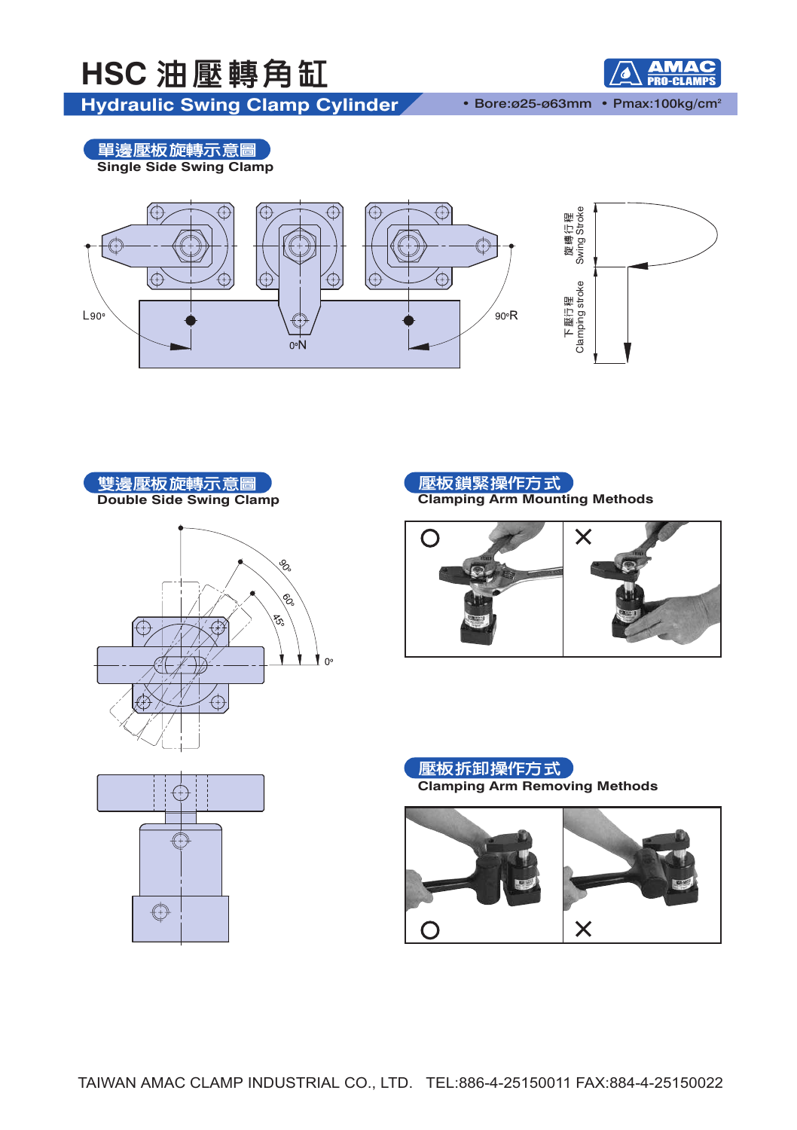



**Hydraulic Swing Clamp Cylinder** • Bore:ø25-ø63mm • Pmax:100kg/cm<sup>2</sup>







 $\oplus$ 

O

壓板鎖緊操作方式





壓板拆卸操作方式 **Clamping Arm Removing Methods**

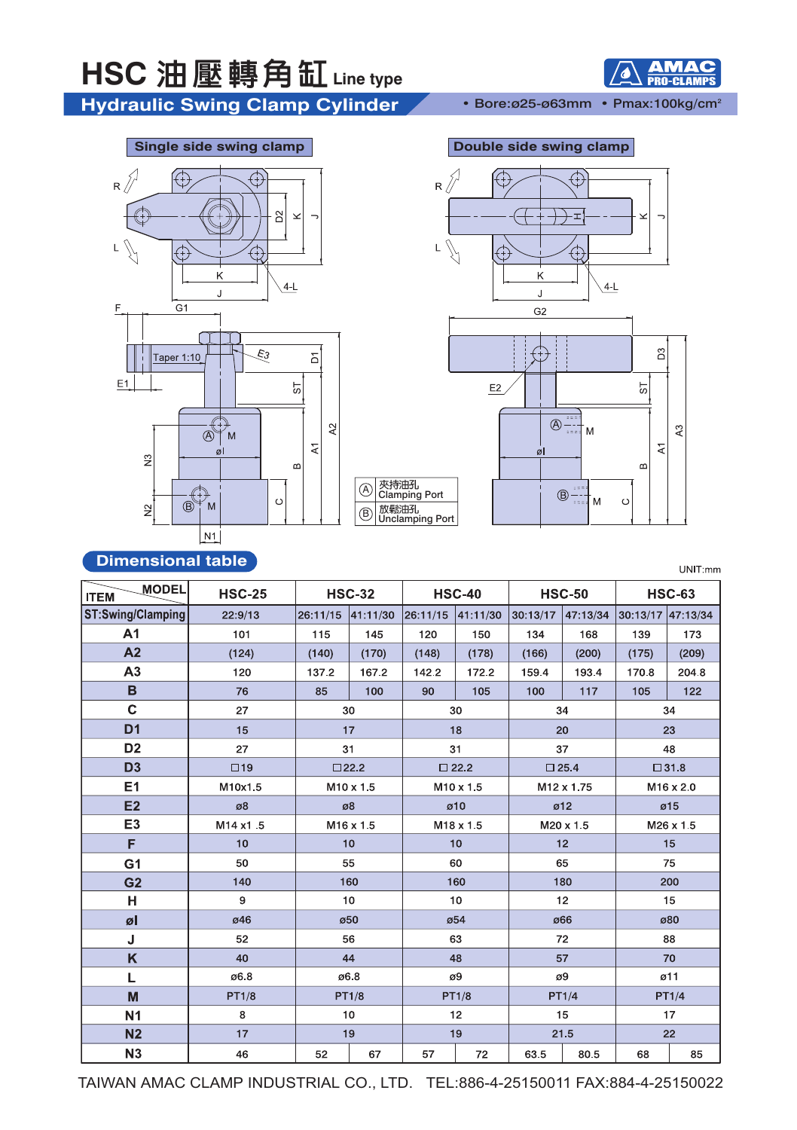**Hydraulic Swing Clamp Cylinder** • Bore:ø25-ø63mm • Pmax:100kg/cm<sup>2</sup>





### **Dimensional table**

UNIT:mm

| <b>MODEL</b><br><b>ITEM</b> | <b>HSC-25</b> | <b>HSC-32</b>         |          |              | <b>HSC-40</b>  |                     | <b>HSC-50</b>  |                   | <b>HSC-63</b>  |  |
|-----------------------------|---------------|-----------------------|----------|--------------|----------------|---------------------|----------------|-------------------|----------------|--|
| ST:Swing/Clamping           | 22:9/13       | 26:11/15              | 41:11/30 | 26:11/15     | 41:11/30       | $30:13/17$ 47:13/34 |                | 30:13/17 47:13/34 |                |  |
| A <sub>1</sub>              | 101           | 115                   | 145      | 120          | 150            | 134                 | 168            | 139               | 173            |  |
| A2                          | (124)         | (140)                 | (170)    | (148)        | (178)          | (166)               | (200)          | (175)             | (209)          |  |
| A <sub>3</sub>              | 120           | 137.2                 | 167.2    | 142.2        | 172.2          | 159.4               | 193.4          | 170.8             | 204.8          |  |
| $\mathbf B$                 | 76            | 85                    | 100      | 90           | 105            | 100                 | 117            | 105               | 122            |  |
| $\mathbf C$                 | 27            |                       | 30       |              | 30             | 34                  |                | 34                |                |  |
| D <sub>1</sub>              | 15            |                       | 17       |              | 18             | 20                  |                | 23                |                |  |
| D <sub>2</sub>              | 27            |                       | 31       |              | 31             | 37                  |                | 48                |                |  |
| D <sub>3</sub>              | $\Box$ 19     | $\square$ 22.2        |          |              | $\square$ 22.2 |                     | $\square$ 25.4 |                   | $\square$ 31.8 |  |
| E1                          | M10x1.5       | M10 x 1.5             |          | M10 x 1.5    |                | M12 x 1.75          |                | M16 x 2.0         |                |  |
| E2                          | ø8            | ø8                    |          | ø10          |                | Ø12                 |                | $\varnothing$ 15  |                |  |
| E <sub>3</sub>              | M14 x1 5      | M <sub>16</sub> x 1.5 |          | M18 x 1.5    |                | M20 x 1.5           |                | M26 x 1.5         |                |  |
| F                           | 10            | 10                    |          | 10           |                |                     | 12             |                   | 15             |  |
| G <sub>1</sub>              | 50            | 55                    |          | 60           |                | 65                  |                |                   | 75             |  |
| G <sub>2</sub>              | 140           | 160                   |          | 160          |                | 180                 |                | 200               |                |  |
| н                           | 9             | 10                    |          | 10           |                | 12                  |                | 15                |                |  |
| øl                          | ø46           | ø50                   |          | ø54          |                | ø66                 |                | ø80               |                |  |
| J                           | 52            | 56                    |          | 63           |                | 72                  |                | 88                |                |  |
| K                           | 40            | 44                    |          | 48           |                | 57                  |                | 70                |                |  |
| Г                           | 06.8          | 06.8                  |          | ø9           |                | ø9                  |                | ø11               |                |  |
| M                           | <b>PT1/8</b>  | PT1/8                 |          | <b>PT1/8</b> |                | PT1/4               |                | PT1/4             |                |  |
| N <sub>1</sub>              | 8             | 10                    |          | 12           |                | 15                  |                | 17                |                |  |
| N <sub>2</sub>              | 17            | 19                    |          | 19           |                | 21.5                |                | 22                |                |  |
| N3                          | 46            | 52                    | 67       | 57           | 72             | 63.5                | 80.5           | 68                | 85             |  |

 $\circledA$  $(B)$ 

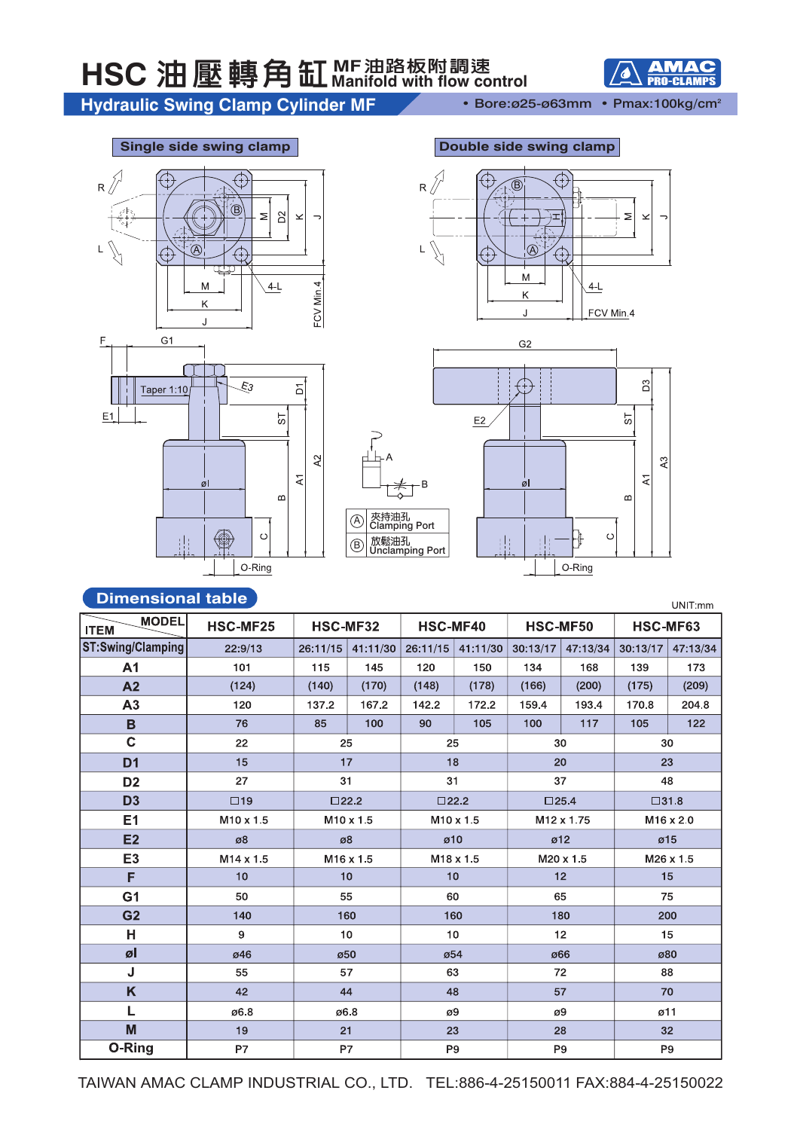**Hydraulic Swing Clamp Cylinder MF** • Bore:ø25-ø63mm • Pmax:100kg/cm<sup>2</sup>

л Д  $\overline{C}$ 









### **Dimensional table**

UNIT:mm

| <b>MODEL</b><br><b>ITEM</b> | HSC-MF25         | HSC-MF32              |          | HSC-MF40              |          | HSC-MF50       |          | HSC-MF63              |           |  |
|-----------------------------|------------------|-----------------------|----------|-----------------------|----------|----------------|----------|-----------------------|-----------|--|
| ST:Swing/Clamping           | 22:9/13          | 26:11/15              | 41:11/30 | 26:11/15              | 41:11/30 | 30:13/17       | 47:13/34 | 30:13/17              | 47:13/34  |  |
| A <sub>1</sub>              | 101              | 115                   | 145      | 120                   | 150      | 134            | 168      | 139                   | 173       |  |
| A2                          | (124)            | (140)                 | (170)    | (148)                 | (178)    | (166)          | (200)    | (175)                 | (209)     |  |
| A3                          | 120              | 137.2                 | 167.2    | 142.2                 | 172.2    | 159.4          | 193.4    | 170.8                 | 204.8     |  |
| $\mathbf B$                 | 76               | 85                    | 100      | 90                    | 105      | 100            | 117      | 105                   | 122       |  |
| $\mathbf C$                 | 22               | 25                    |          | 25                    |          | 30             |          | 30                    |           |  |
| D <sub>1</sub>              | 15               | 17                    |          | 18                    |          | 20             |          | 23                    |           |  |
| D <sub>2</sub>              | 27               | 31                    |          | 31                    |          | 37             |          | 48                    |           |  |
| D <sub>3</sub>              | $\Box$ 19        | $\square$ 22.2        |          | $\square$ 22.2        |          | $\square$ 25.4 |          | $\square$ 31.8        |           |  |
| E1                          | M10 x 1.5        | M <sub>10</sub> x 1.5 |          | M <sub>10</sub> x 1.5 |          | M12 x 1.75     |          | M <sub>16</sub> x 2.0 |           |  |
| E2                          | ø8               | ø8                    |          | ø10                   |          | Ø12            |          | ø15                   |           |  |
| E <sub>3</sub>              | $M14 \times 1.5$ | M <sub>16</sub> x 1.5 |          | M18 x 1.5             |          | M20 x 1.5      |          |                       | M26 x 1.5 |  |
| F                           | 10               | 10                    |          | 10                    |          | 12             |          | 15                    |           |  |
| G <sub>1</sub>              | 50               | 55                    |          | 60                    |          | 65             |          | 75                    |           |  |
| G <sub>2</sub>              | 140              | 160                   |          | 160                   |          | 180            |          | 200                   |           |  |
| н                           | 9                | 10                    |          | 10 <sup>°</sup>       |          | 12             |          | 15                    |           |  |
| øl                          | ø46              | ø50                   |          | ø54                   |          | ø66            |          | ø80                   |           |  |
| J                           | 55               | 57                    |          | 63                    |          | 72             |          | 88                    |           |  |
| $\mathsf{K}$                | 42               | 44                    |          | 48                    |          | 57             |          | 70                    |           |  |
| L                           | 06.8             | 06.8                  |          | ø9                    |          | ø9             |          | ø11                   |           |  |
| M                           | 19               | 21                    |          | 23                    |          | 28             |          | 32                    |           |  |
| O-Ring                      | P7               | P7                    |          | P <sub>9</sub>        |          | P <sub>9</sub> |          | P <sub>9</sub>        |           |  |

 $(B)$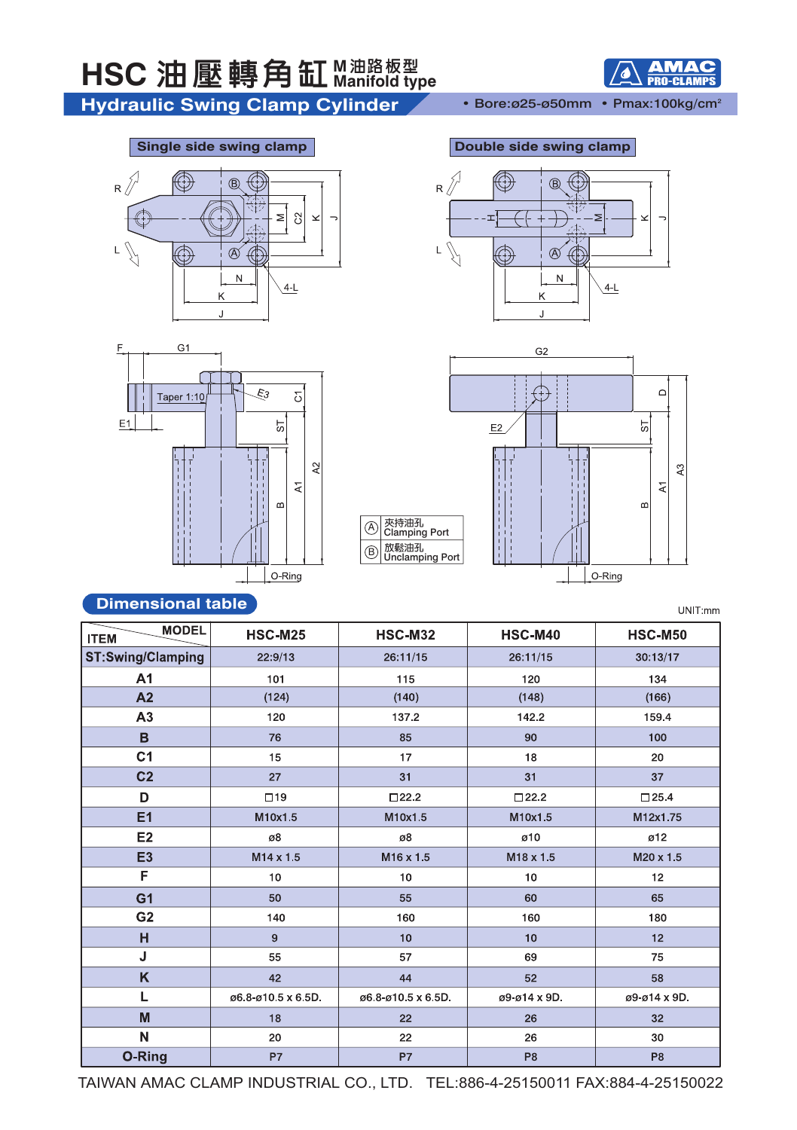**Hydraulic Swing Clamp Cylinder** • Bore:ø25-ø50mm • Pmax:100kg/cm<sup>2</sup>







#### **Single side swing clamp Double side swing clamp**





#### |夾持油孔<br>|Clamping Port Unclamping Port  $\circledA$  $\circledB$

**Dimensional table**

UNIT:mm

| <b>MODEL</b><br><b>ITEM</b> | <b>HSC-M25</b>     | <b>HSC-M32</b>    | <b>HSC-M40</b> | <b>HSC-M50</b> |
|-----------------------------|--------------------|-------------------|----------------|----------------|
| <b>ST:Swing/Clamping</b>    | 22:9/13            | 26:11/15          | 26:11/15       | 30:13/17       |
| A <sub>1</sub>              | 101                | 115               | 120            | 134            |
| A2                          | (124)              | (140)             | (148)          | (166)          |
| A <sub>3</sub>              | 120                | 137.2             | 142.2          | 159.4          |
| B                           | 76                 | 85                | 90             | 100            |
| C <sub>1</sub>              | 15                 | 17                | 18             | 20             |
| C <sub>2</sub>              | 27                 | 31                | 31             | 37             |
| D                           | $\square$ 19       | $\square$ 22.2    | $\square$ 22.2 | $\square$ 25.4 |
| E1                          | M10x1.5            | M10x1.5           | M10x1.5        | M12x1.75       |
| E2                          | ø8                 | ø8                | ø10            | ø12            |
| E3                          | M14 x 1.5          | M16 x 1.5         | M18 x 1.5      | M20 x 1.5      |
| F                           | $10$               | 10                | 10             | 12             |
| G <sub>1</sub>              | 50                 | 55                | 60             | 65             |
| G <sub>2</sub>              | 140                | 160               | 160            | 180            |
| H                           | 9                  | 10                | 10             | 12             |
| J                           | 55                 | 57                | 69             | 75             |
| K                           | 42                 | 44                | 52             | 58             |
| L                           | ø6.8-ø10.5 x 6.5D. | 06.8-010.5 x 6.5D | ø9-ø14 x 9D.   | ø9-ø14 x 9D.   |
| M                           | 18                 | 22                | 26             | 32             |
| N                           | 20                 | 22                | 26             | 30             |
| <b>O-Ring</b>               | <b>P7</b>          | <b>P7</b>         | P <sub>8</sub> | P <sub>8</sub> |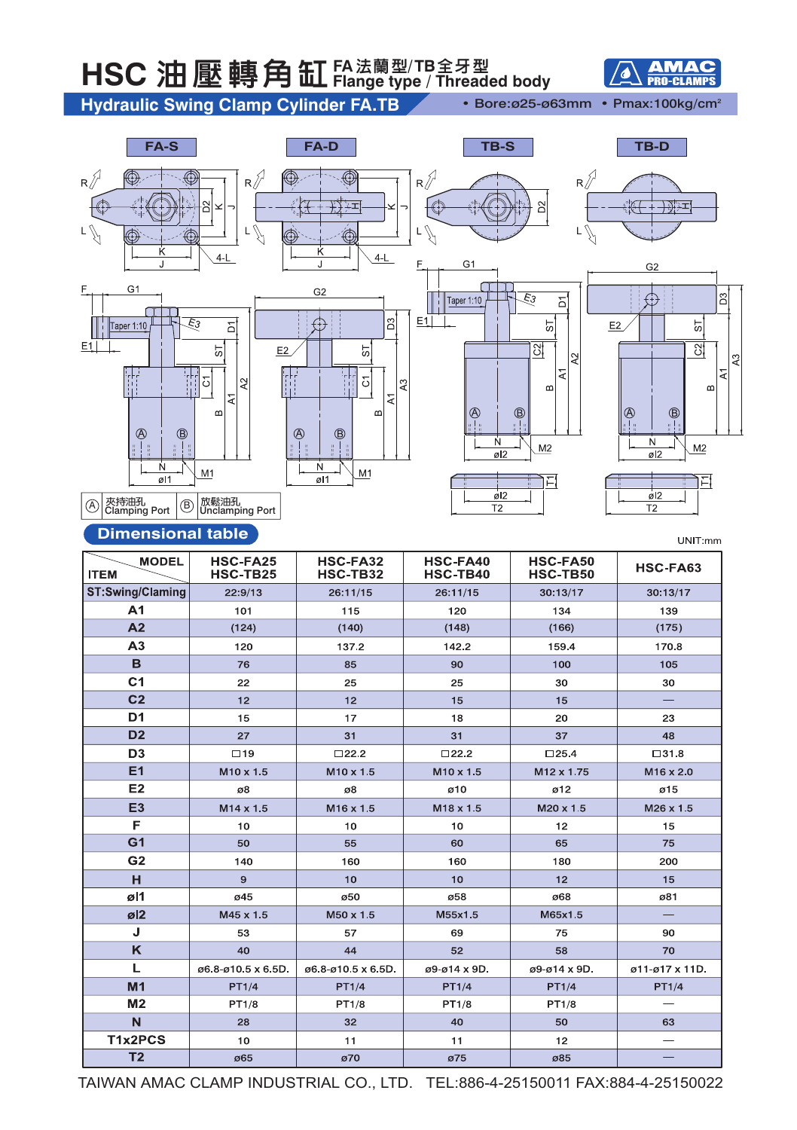# **HSC 油壓轉角缸**Flange type / Threaded body



्लि

**Hydraulic Swing Clamp Cylinder FA.TB** • Bore:ø25-ø63mm • Pmax:100kg/cm<sup>2</sup>





∑∯∱≖



#### **Dimensional table**

UNIT:mm **MODEL** HSC-FA25 HSC-FA32 HSC-FA40 HSC-FA50 HSC-FA63 **ITEM** HSC-TB50 HSC-TB25 HSC-TB32 HSC-TB40 **ST:Swing/Claming**  $22:9/13$  $26:11/15$  $26:11/15$  $30:13/17$  $30:13/17$  $A<sub>1</sub>$ 101 115 120 134 139  $\overline{A2}$  $(166)$  $(175)$  $(124)$  $(140)$  $(148)$  $A<sub>3</sub>$ 120 137.2 142.2 159.4 170.8  $\overline{B}$ 85 100 105 76 90  $C<sub>1</sub>$  $22$ 25 25 30 30  $\overline{C2}$  $\equiv$  $12$  $12$  $15$  $15$  $D<sub>1</sub>$ 15  $17$ 18  $20$ 23 D<sub>2</sub> 27  $31$  $31$ 37 48 D<sub>3</sub>  $\Box$ 19  $\square$ 22.2  $\square$ 22.2  $\square$ 25.4  $\square$ 31.8  $F<sub>1</sub>$ M10 x 1.5 M10 x 1.5 M10 x 1.5 M12 x 1.75 M16 x 2.0  $E2$  $\sigma$ 8  $\sigma$ 10 ø12  $\varnothing$ 15 ø8 E<sub>3</sub> M14 x 1.5 M16 x 1.5 M18 x 1.5 M20 x 1.5 M26 x 1.5 F  $10$  $10$  $10$  $12$ 15  $G<sub>1</sub>$ 50 55 60 65 75  $G<sub>2</sub>$ 140 160 160 180 200  $H$  $\mathbf{9}$  $10$  $10$  $12$  $15$ øl1 ø45 ø58 ø68 ø81 ø50 øl<sub>2</sub>  $\equiv$ M45 x 1.5 M50 x 1.5 M55x1.5 M65x1.5 J 75 53 57 69 90 K 40 52 70 44 58 L 068-010.5 x 6.5D. 06.8-010.5 x 6.5D. ø9-ø14 x 9D. ø9-ø14 x 9D. ø11-ø17 x 11D.  $M<sub>1</sub>$  $PT1/4$ PT1/4  $PT1/4$  $PT1/4$  $PT1/4$  $M<sub>2</sub>$  $PT1/8$  $PT1/8$  $PT1/8$  $PT1/8$  $\equiv$ N 28 32 40 50 63 T1x2PCS  $10$  $11$  $11$  $12$  $T<sub>2</sub>$ ø65 ø70 ø75 ø85  $\frac{1}{2}$